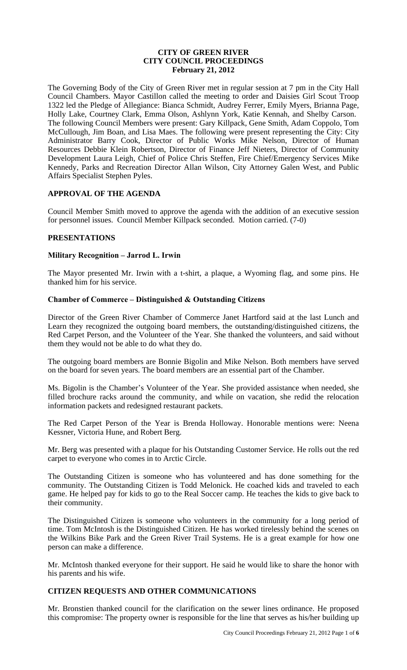### **CITY OF GREEN RIVER CITY COUNCIL PROCEEDINGS February 21, 2012**

The Governing Body of the City of Green River met in regular session at 7 pm in the City Hall Council Chambers. Mayor Castillon called the meeting to order and Daisies Girl Scout Troop 1322 led the Pledge of Allegiance: Bianca Schmidt, Audrey Ferrer, Emily Myers, Brianna Page, Holly Lake, Courtney Clark, Emma Olson, Ashlynn York, Katie Kennah, and Shelby Carson. The following Council Members were present: Gary Killpack, Gene Smith, Adam Coppolo, Tom McCullough, Jim Boan, and Lisa Maes. The following were present representing the City: City Administrator Barry Cook, Director of Public Works Mike Nelson, Director of Human Resources Debbie Klein Robertson, Director of Finance Jeff Nieters, Director of Community Development Laura Leigh, Chief of Police Chris Steffen, Fire Chief/Emergency Services Mike Kennedy, Parks and Recreation Director Allan Wilson, City Attorney Galen West, and Public Affairs Specialist Stephen Pyles.

# **APPROVAL OF THE AGENDA**

Council Member Smith moved to approve the agenda with the addition of an executive session for personnel issues. Council Member Killpack seconded. Motion carried. (7-0)

### **PRESENTATIONS**

### **Military Recognition – Jarrod L. Irwin**

The Mayor presented Mr. Irwin with a t-shirt, a plaque, a Wyoming flag, and some pins. He thanked him for his service.

### **Chamber of Commerce – Distinguished & Outstanding Citizens**

Director of the Green River Chamber of Commerce Janet Hartford said at the last Lunch and Learn they recognized the outgoing board members, the outstanding/distinguished citizens, the Red Carpet Person, and the Volunteer of the Year. She thanked the volunteers, and said without them they would not be able to do what they do.

The outgoing board members are Bonnie Bigolin and Mike Nelson. Both members have served on the board for seven years. The board members are an essential part of the Chamber.

Ms. Bigolin is the Chamber's Volunteer of the Year. She provided assistance when needed, she filled brochure racks around the community, and while on vacation, she redid the relocation information packets and redesigned restaurant packets.

The Red Carpet Person of the Year is Brenda Holloway. Honorable mentions were: Neena Kessner, Victoria Hune, and Robert Berg.

Mr. Berg was presented with a plaque for his Outstanding Customer Service. He rolls out the red carpet to everyone who comes in to Arctic Circle.

The Outstanding Citizen is someone who has volunteered and has done something for the community. The Outstanding Citizen is Todd Melonick. He coached kids and traveled to each game. He helped pay for kids to go to the Real Soccer camp. He teaches the kids to give back to their community.

The Distinguished Citizen is someone who volunteers in the community for a long period of time. Tom McIntosh is the Distinguished Citizen. He has worked tirelessly behind the scenes on the Wilkins Bike Park and the Green River Trail Systems. He is a great example for how one person can make a difference.

Mr. McIntosh thanked everyone for their support. He said he would like to share the honor with his parents and his wife.

# **CITIZEN REQUESTS AND OTHER COMMUNICATIONS**

Mr. Bronstien thanked council for the clarification on the sewer lines ordinance. He proposed this compromise: The property owner is responsible for the line that serves as his/her building up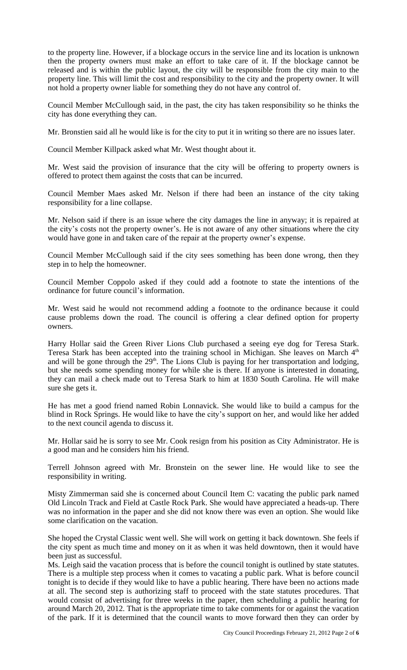to the property line. However, if a blockage occurs in the service line and its location is unknown then the property owners must make an effort to take care of it. If the blockage cannot be released and is within the public layout, the city will be responsible from the city main to the property line. This will limit the cost and responsibility to the city and the property owner. It will not hold a property owner liable for something they do not have any control of.

Council Member McCullough said, in the past, the city has taken responsibility so he thinks the city has done everything they can.

Mr. Bronstien said all he would like is for the city to put it in writing so there are no issues later.

Council Member Killpack asked what Mr. West thought about it.

Mr. West said the provision of insurance that the city will be offering to property owners is offered to protect them against the costs that can be incurred.

Council Member Maes asked Mr. Nelson if there had been an instance of the city taking responsibility for a line collapse.

Mr. Nelson said if there is an issue where the city damages the line in anyway; it is repaired at the city's costs not the property owner's. He is not aware of any other situations where the city would have gone in and taken care of the repair at the property owner's expense.

Council Member McCullough said if the city sees something has been done wrong, then they step in to help the homeowner.

Council Member Coppolo asked if they could add a footnote to state the intentions of the ordinance for future council's information.

Mr. West said he would not recommend adding a footnote to the ordinance because it could cause problems down the road. The council is offering a clear defined option for property owners.

Harry Hollar said the Green River Lions Club purchased a seeing eye dog for Teresa Stark. Teresa Stark has been accepted into the training school in Michigan. She leaves on March 4<sup>th</sup> and will be gone through the 29<sup>th</sup>. The Lions Club is paying for her transportation and lodging, but she needs some spending money for while she is there. If anyone is interested in donating, they can mail a check made out to Teresa Stark to him at 1830 South Carolina. He will make sure she gets it.

He has met a good friend named Robin Lonnavick. She would like to build a campus for the blind in Rock Springs. He would like to have the city's support on her, and would like her added to the next council agenda to discuss it.

Mr. Hollar said he is sorry to see Mr. Cook resign from his position as City Administrator. He is a good man and he considers him his friend.

Terrell Johnson agreed with Mr. Bronstein on the sewer line. He would like to see the responsibility in writing.

Misty Zimmerman said she is concerned about Council Item C: vacating the public park named Old Lincoln Track and Field at Castle Rock Park. She would have appreciated a heads-up. There was no information in the paper and she did not know there was even an option. She would like some clarification on the vacation.

She hoped the Crystal Classic went well. She will work on getting it back downtown. She feels if the city spent as much time and money on it as when it was held downtown, then it would have been just as successful.

Ms. Leigh said the vacation process that is before the council tonight is outlined by state statutes. There is a multiple step process when it comes to vacating a public park. What is before council tonight is to decide if they would like to have a public hearing. There have been no actions made at all. The second step is authorizing staff to proceed with the state statutes procedures. That would consist of advertising for three weeks in the paper, then scheduling a public hearing for around March 20, 2012. That is the appropriate time to take comments for or against the vacation of the park. If it is determined that the council wants to move forward then they can order by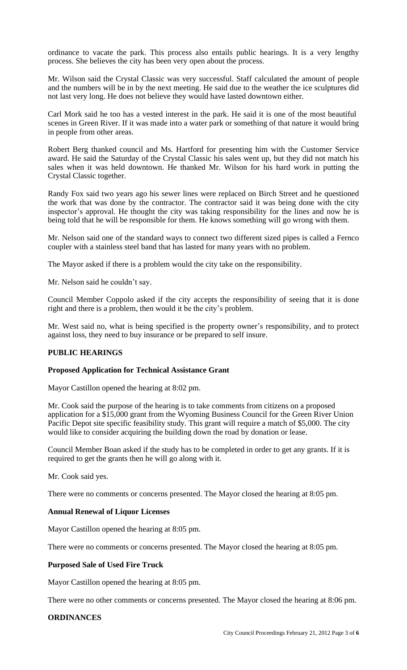ordinance to vacate the park. This process also entails public hearings. It is a very lengthy process. She believes the city has been very open about the process.

Mr. Wilson said the Crystal Classic was very successful. Staff calculated the amount of people and the numbers will be in by the next meeting. He said due to the weather the ice sculptures did not last very long. He does not believe they would have lasted downtown either.

Carl Mork said he too has a vested interest in the park. He said it is one of the most beautiful scenes in Green River. If it was made into a water park or something of that nature it would bring in people from other areas.

Robert Berg thanked council and Ms. Hartford for presenting him with the Customer Service award. He said the Saturday of the Crystal Classic his sales went up, but they did not match his sales when it was held downtown. He thanked Mr. Wilson for his hard work in putting the Crystal Classic together.

Randy Fox said two years ago his sewer lines were replaced on Birch Street and he questioned the work that was done by the contractor. The contractor said it was being done with the city inspector's approval. He thought the city was taking responsibility for the lines and now he is being told that he will be responsible for them. He knows something will go wrong with them.

Mr. Nelson said one of the standard ways to connect two different sized pipes is called a Fernco coupler with a stainless steel band that has lasted for many years with no problem.

The Mayor asked if there is a problem would the city take on the responsibility.

Mr. Nelson said he couldn't say.

Council Member Coppolo asked if the city accepts the responsibility of seeing that it is done right and there is a problem, then would it be the city's problem.

Mr. West said no, what is being specified is the property owner's responsibility, and to protect against loss, they need to buy insurance or be prepared to self insure.

# **PUBLIC HEARINGS**

#### **Proposed Application for Technical Assistance Grant**

Mayor Castillon opened the hearing at 8:02 pm.

Mr. Cook said the purpose of the hearing is to take comments from citizens on a proposed application for a \$15,000 grant from the Wyoming Business Council for the Green River Union Pacific Depot site specific feasibility study. This grant will require a match of \$5,000. The city would like to consider acquiring the building down the road by donation or lease.

Council Member Boan asked if the study has to be completed in order to get any grants. If it is required to get the grants then he will go along with it.

Mr. Cook said yes.

There were no comments or concerns presented. The Mayor closed the hearing at 8:05 pm.

# **Annual Renewal of Liquor Licenses**

Mayor Castillon opened the hearing at 8:05 pm.

There were no comments or concerns presented. The Mayor closed the hearing at 8:05 pm.

#### **Purposed Sale of Used Fire Truck**

Mayor Castillon opened the hearing at 8:05 pm.

There were no other comments or concerns presented. The Mayor closed the hearing at 8:06 pm.

### **ORDINANCES**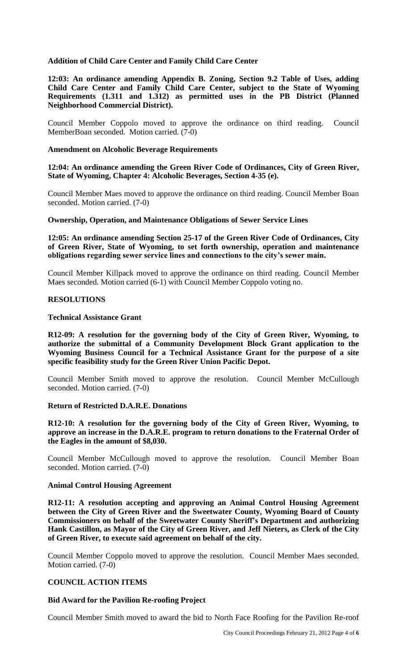### **Addition of Child Care Center and Family Child Care Center**

**12:03: An ordinance amending Appendix B. Zoning, Section 9.2 Table of Uses, adding Child Care Center and Family Child Care Center, subject to the State of Wyoming Requirements (1.311 and 1.312) as permitted uses in the PB District (Planned Neighborhood Commercial District).** 

Council Member Coppolo moved to approve the ordinance on third reading. Council MemberBoan seconded. Motion carried. (7-0)

#### **Amendment on Alcoholic Beverage Requirements**

**12:04: An ordinance amending the Green River Code of Ordinances, City of Green River, State of Wyoming, Chapter 4: Alcoholic Beverages, Section 4-35 (e).**

Council Member Maes moved to approve the ordinance on third reading. Council Member Boan seconded. Motion carried. (7-0)

**Ownership, Operation, and Maintenance Obligations of Sewer Service Lines**

**12:05: An ordinance amending Section 25-17 of the Green River Code of Ordinances, City of Green River, State of Wyoming, to set forth ownership, operation and maintenance obligations regarding sewer service lines and connections to the city's sewer main.**

Council Member Killpack moved to approve the ordinance on third reading. Council Member Maes seconded. Motion carried (6-1) with Council Member Coppolo voting no.

#### **RESOLUTIONS**

#### **Technical Assistance Grant**

**R12-09: A resolution for the governing body of the City of Green River, Wyoming, to authorize the submittal of a Community Development Block Grant application to the Wyoming Business Council for a Technical Assistance Grant for the purpose of a site specific feasibility study for the Green River Union Pacific Depot.** 

Council Member Smith moved to approve the resolution. Council Member McCullough seconded. Motion carried. (7-0)

# **Return of Restricted D.A.R.E. Donations**

**R12-10: A resolution for the governing body of the City of Green River, Wyoming, to approve an increase in the D.A.R.E. program to return donations to the Fraternal Order of the Eagles in the amount of \$8,030.**

Council Member McCullough moved to approve the resolution. Council Member Boan seconded. Motion carried. (7-0)

#### **Animal Control Housing Agreement**

**R12-11: A resolution accepting and approving an Animal Control Housing Agreement between the City of Green River and the Sweetwater County, Wyoming Board of County Commissioners on behalf of the Sweetwater County Sheriff's Department and authorizing Hank Castillon, as Mayor of the City of Green River, and Jeff Nieters, as Clerk of the City of Green River, to execute said agreement on behalf of the city.**

Council Member Coppolo moved to approve the resolution. Council Member Maes seconded. Motion carried. (7-0)

# **COUNCIL ACTION ITEMS**

#### **Bid Award for the Pavilion Re-roofing Project**

Council Member Smith moved to award the bid to North Face Roofing for the Pavilion Re-roof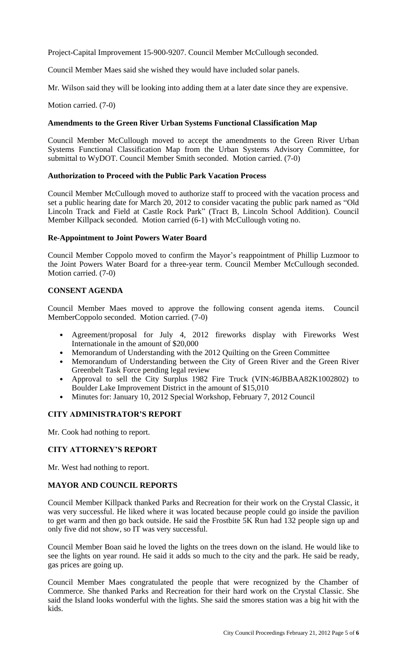Project-Capital Improvement 15-900-9207. Council Member McCullough seconded.

Council Member Maes said she wished they would have included solar panels.

Mr. Wilson said they will be looking into adding them at a later date since they are expensive.

# Motion carried. (7-0)

# **Amendments to the Green River Urban Systems Functional Classification Map**

Council Member McCullough moved to accept the amendments to the Green River Urban Systems Functional Classification Map from the Urban Systems Advisory Committee, for submittal to WyDOT. Council Member Smith seconded. Motion carried. (7-0)

# **Authorization to Proceed with the Public Park Vacation Process**

Council Member McCullough moved to authorize staff to proceed with the vacation process and set a public hearing date for March 20, 2012 to consider vacating the public park named as "Old Lincoln Track and Field at Castle Rock Park" (Tract B, Lincoln School Addition). Council Member Killpack seconded. Motion carried (6-1) with McCullough voting no.

# **Re-Appointment to Joint Powers Water Board**

Council Member Coppolo moved to confirm the Mayor's reappointment of Phillip Luzmoor to the Joint Powers Water Board for a three-year term. Council Member McCullough seconded. Motion carried. (7-0)

# **CONSENT AGENDA**

Council Member Maes moved to approve the following consent agenda items. Council MemberCoppolo seconded. Motion carried. (7-0)

- Agreement/proposal for July 4, 2012 fireworks display with Fireworks West Internationale in the amount of \$20,000
- Memorandum of Understanding with the 2012 Quilting on the Green Committee
- Memorandum of Understanding between the City of Green River and the Green River Greenbelt Task Force pending legal review
- Approval to sell the City Surplus 1982 Fire Truck (VIN:46JBBAA82K1002802) to Boulder Lake Improvement District in the amount of \$15,010
- Minutes for: January 10, 2012 Special Workshop, February 7, 2012 Council

# **CITY ADMINISTRATOR'S REPORT**

Mr. Cook had nothing to report.

# **CITY ATTORNEY'S REPORT**

Mr. West had nothing to report.

# **MAYOR AND COUNCIL REPORTS**

Council Member Killpack thanked Parks and Recreation for their work on the Crystal Classic, it was very successful. He liked where it was located because people could go inside the pavilion to get warm and then go back outside. He said the Frostbite 5K Run had 132 people sign up and only five did not show, so IT was very successful.

Council Member Boan said he loved the lights on the trees down on the island. He would like to see the lights on year round. He said it adds so much to the city and the park. He said be ready, gas prices are going up.

Council Member Maes congratulated the people that were recognized by the Chamber of Commerce. She thanked Parks and Recreation for their hard work on the Crystal Classic. She said the Island looks wonderful with the lights. She said the smores station was a big hit with the kids.